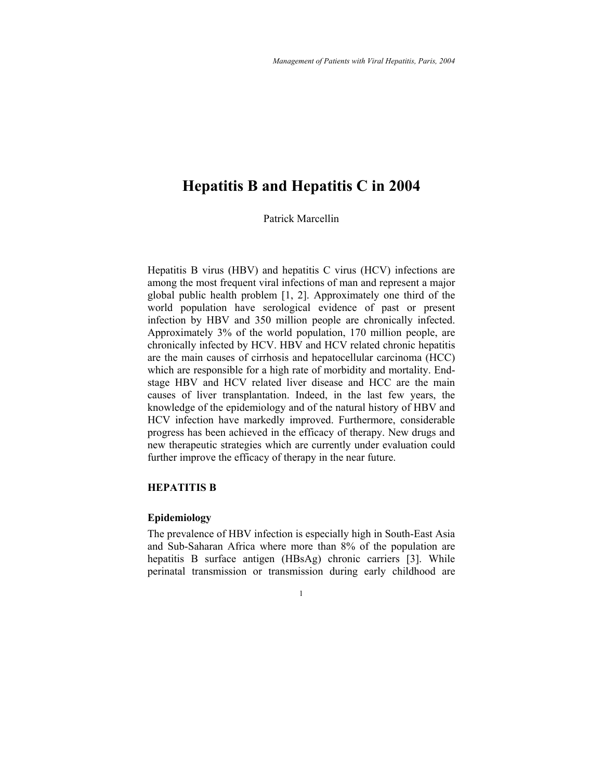# **Hepatitis B and Hepatitis C in 2004**

Patrick Marcellin

Hepatitis B virus (HBV) and hepatitis C virus (HCV) infections are among the most frequent viral infections of man and represent a major global public health problem [1, 2]. Approximately one third of the world population have serological evidence of past or present infection by HBV and 350 million people are chronically infected. Approximately 3% of the world population, 170 million people, are chronically infected by HCV. HBV and HCV related chronic hepatitis are the main causes of cirrhosis and hepatocellular carcinoma (HCC) which are responsible for a high rate of morbidity and mortality. Endstage HBV and HCV related liver disease and HCC are the main causes of liver transplantation. Indeed, in the last few years, the knowledge of the epidemiology and of the natural history of HBV and HCV infection have markedly improved. Furthermore, considerable progress has been achieved in the efficacy of therapy. New drugs and new therapeutic strategies which are currently under evaluation could further improve the efficacy of therapy in the near future.

# **HEPATITIS B**

#### **Epidemiology**

The prevalence of HBV infection is especially high in South-East Asia and Sub-Saharan Africa where more than 8% of the population are hepatitis B surface antigen (HBsAg) chronic carriers [3]. While perinatal transmission or transmission during early childhood are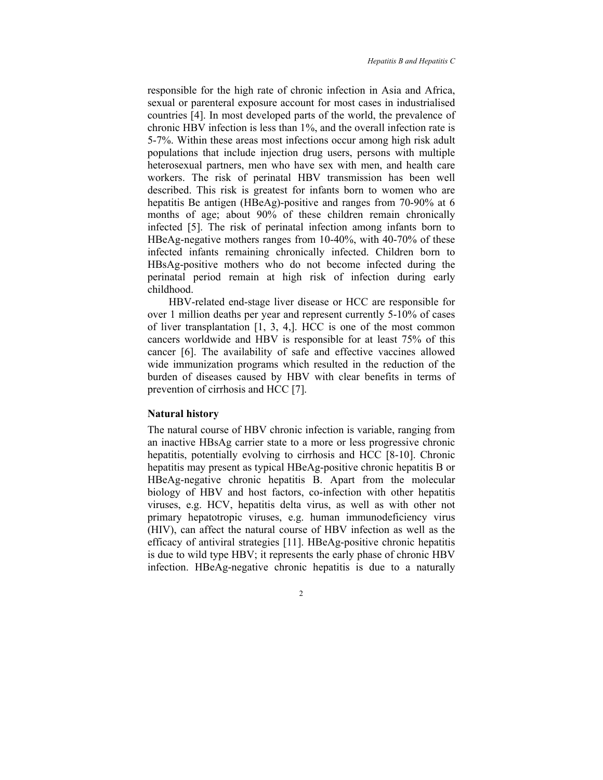responsible for the high rate of chronic infection in Asia and Africa, sexual or parenteral exposure account for most cases in industrialised countries [4]. In most developed parts of the world, the prevalence of chronic HBV infection is less than 1%, and the overall infection rate is 5-7%. Within these areas most infections occur among high risk adult populations that include injection drug users, persons with multiple heterosexual partners, men who have sex with men, and health care workers. The risk of perinatal HBV transmission has been well described. This risk is greatest for infants born to women who are hepatitis Be antigen (HBeAg)-positive and ranges from 70-90% at 6 months of age; about 90% of these children remain chronically infected [5]. The risk of perinatal infection among infants born to HBeAg-negative mothers ranges from 10-40%, with 40-70% of these infected infants remaining chronically infected. Children born to HBsAg-positive mothers who do not become infected during the perinatal period remain at high risk of infection during early childhood.

HBV-related end-stage liver disease or HCC are responsible for over 1 million deaths per year and represent currently 5-10% of cases of liver transplantation [1, 3, 4,]. HCC is one of the most common cancers worldwide and HBV is responsible for at least 75% of this cancer [6]. The availability of safe and effective vaccines allowed wide immunization programs which resulted in the reduction of the burden of diseases caused by HBV with clear benefits in terms of prevention of cirrhosis and HCC [7].

#### **Natural history**

The natural course of HBV chronic infection is variable, ranging from an inactive HBsAg carrier state to a more or less progressive chronic hepatitis, potentially evolving to cirrhosis and HCC [8-10]. Chronic hepatitis may present as typical HBeAg-positive chronic hepatitis B or HBeAg-negative chronic hepatitis B. Apart from the molecular biology of HBV and host factors, co-infection with other hepatitis viruses, e.g. HCV, hepatitis delta virus, as well as with other not primary hepatotropic viruses, e.g. human immunodeficiency virus (HIV), can affect the natural course of HBV infection as well as the efficacy of antiviral strategies [11]. HBeAg-positive chronic hepatitis is due to wild type HBV; it represents the early phase of chronic HBV infection. HBeAg-negative chronic hepatitis is due to a naturally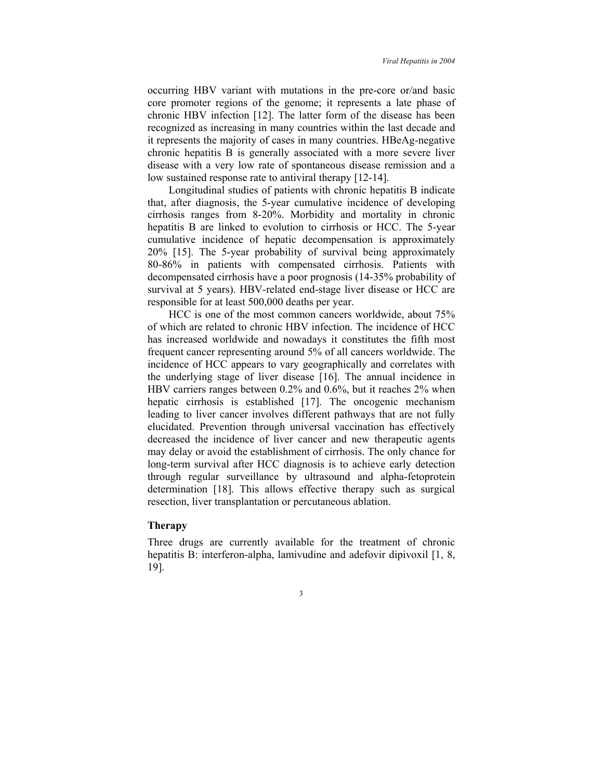occurring HBV variant with mutations in the pre-core or/and basic core promoter regions of the genome; it represents a late phase of chronic HBV infection [12]. The latter form of the disease has been recognized as increasing in many countries within the last decade and it represents the majority of cases in many countries. HBeAg-negative chronic hepatitis B is generally associated with a more severe liver disease with a very low rate of spontaneous disease remission and a low sustained response rate to antiviral therapy [12-14].

Longitudinal studies of patients with chronic hepatitis B indicate that, after diagnosis, the 5-year cumulative incidence of developing cirrhosis ranges from 8-20%. Morbidity and mortality in chronic hepatitis B are linked to evolution to cirrhosis or HCC. The 5-year cumulative incidence of hepatic decompensation is approximately 20% [15]. The 5-year probability of survival being approximately 80-86% in patients with compensated cirrhosis. Patients with decompensated cirrhosis have a poor prognosis (14-35% probability of survival at 5 years). HBV-related end-stage liver disease or HCC are responsible for at least 500,000 deaths per year.

HCC is one of the most common cancers worldwide, about 75% of which are related to chronic HBV infection. The incidence of HCC has increased worldwide and nowadays it constitutes the fifth most frequent cancer representing around 5% of all cancers worldwide. The incidence of HCC appears to vary geographically and correlates with the underlying stage of liver disease [16]. The annual incidence in HBV carriers ranges between 0.2% and 0.6%, but it reaches 2% when hepatic cirrhosis is established [17]. The oncogenic mechanism leading to liver cancer involves different pathways that are not fully elucidated. Prevention through universal vaccination has effectively decreased the incidence of liver cancer and new therapeutic agents may delay or avoid the establishment of cirrhosis. The only chance for long-term survival after HCC diagnosis is to achieve early detection through regular surveillance by ultrasound and alpha-fetoprotein determination [18]. This allows effective therapy such as surgical resection, liver transplantation or percutaneous ablation.

# **Therapy**

Three drugs are currently available for the treatment of chronic hepatitis B: interferon-alpha, lamivudine and adefovir dipivoxil [1, 8, 19].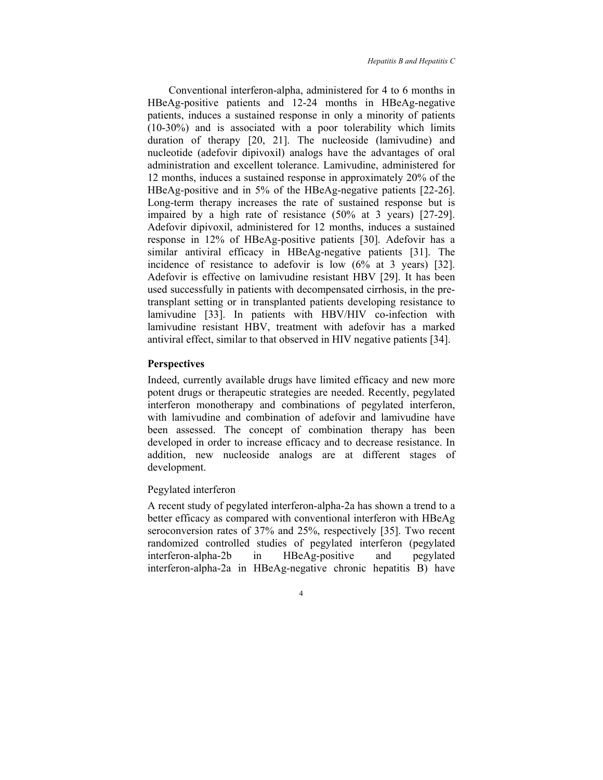Conventional interferon-alpha, administered for 4 to 6 months in HBeAg-positive patients and 12-24 months in HBeAg-negative patients, induces a sustained response in only a minority of patients (10-30%) and is associated with a poor tolerability which limits duration of therapy [20, 21]. The nucleoside (lamivudine) and nucleotide (adefovir dipivoxil) analogs have the advantages of oral administration and excellent tolerance. Lamivudine, administered for 12 months, induces a sustained response in approximately 20% of the HBeAg-positive and in 5% of the HBeAg-negative patients [22-26]. Long-term therapy increases the rate of sustained response but is impaired by a high rate of resistance (50% at 3 years) [27-29]. Adefovir dipivoxil, administered for 12 months, induces a sustained response in 12% of HBeAg-positive patients [30]. Adefovir has a similar antiviral efficacy in HBeAg-negative patients [31]. The incidence of resistance to adefovir is low (6% at 3 years) [32]. Adefovir is effective on lamivudine resistant HBV [29]. It has been used successfully in patients with decompensated cirrhosis, in the pretransplant setting or in transplanted patients developing resistance to lamivudine [33]. In patients with HBV/HIV co-infection with lamivudine resistant HBV, treatment with adefovir has a marked antiviral effect, similar to that observed in HIV negative patients [34].

# **Perspectives**

Indeed, currently available drugs have limited efficacy and new more potent drugs or therapeutic strategies are needed. Recently, pegylated interferon monotherapy and combinations of pegylated interferon, with lamivudine and combination of adefovir and lamivudine have been assessed. The concept of combination therapy has been developed in order to increase efficacy and to decrease resistance. In addition, new nucleoside analogs are at different stages of development.

#### Pegylated interferon

A recent study of pegylated interferon-alpha-2a has shown a trend to a better efficacy as compared with conventional interferon with HBeAg seroconversion rates of 37% and 25%, respectively [35]. Two recent randomized controlled studies of pegylated interferon (pegylated interferon-alpha-2b in HBeAg-positive and pegylated interferon-alpha-2a in HBeAg-negative chronic hepatitis B) have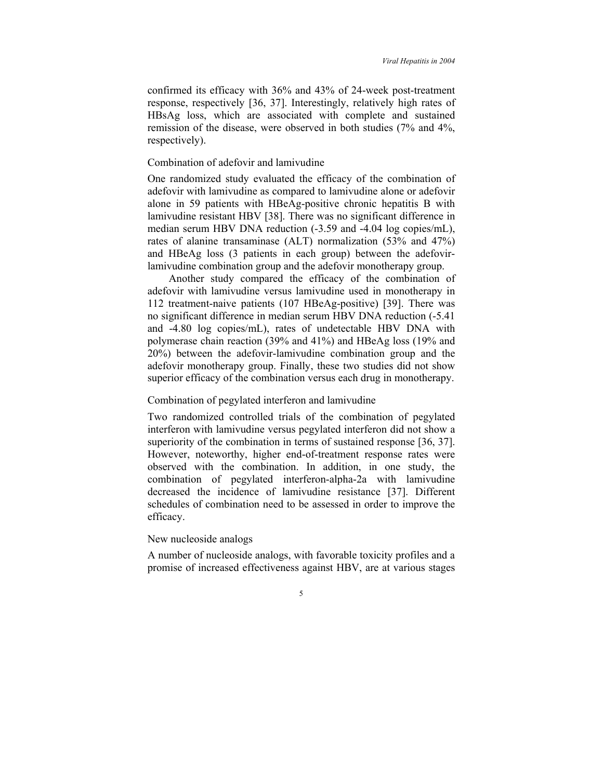confirmed its efficacy with 36% and 43% of 24-week post-treatment response, respectively [36, 37]. Interestingly, relatively high rates of HBsAg loss, which are associated with complete and sustained remission of the disease, were observed in both studies (7% and 4%, respectively).

# Combination of adefovir and lamivudine

One randomized study evaluated the efficacy of the combination of adefovir with lamivudine as compared to lamivudine alone or adefovir alone in 59 patients with HBeAg-positive chronic hepatitis B with lamivudine resistant HBV [38]. There was no significant difference in median serum HBV DNA reduction (-3.59 and -4.04 log copies/mL), rates of alanine transaminase (ALT) normalization (53% and 47%) and HBeAg loss (3 patients in each group) between the adefovirlamivudine combination group and the adefovir monotherapy group.

Another study compared the efficacy of the combination of adefovir with lamivudine versus lamivudine used in monotherapy in 112 treatment-naive patients (107 HBeAg-positive) [39]. There was no significant difference in median serum HBV DNA reduction (-5.41 and -4.80 log copies/mL), rates of undetectable HBV DNA with polymerase chain reaction (39% and 41%) and HBeAg loss (19% and 20%) between the adefovir-lamivudine combination group and the adefovir monotherapy group. Finally, these two studies did not show superior efficacy of the combination versus each drug in monotherapy.

#### Combination of pegylated interferon and lamivudine

Two randomized controlled trials of the combination of pegylated interferon with lamivudine versus pegylated interferon did not show a superiority of the combination in terms of sustained response [36, 37]. However, noteworthy, higher end-of-treatment response rates were observed with the combination. In addition, in one study, the combination of pegylated interferon-alpha-2a with lamivudine decreased the incidence of lamivudine resistance [37]. Different schedules of combination need to be assessed in order to improve the efficacy.

#### New nucleoside analogs

A number of nucleoside analogs, with favorable toxicity profiles and a promise of increased effectiveness against HBV, are at various stages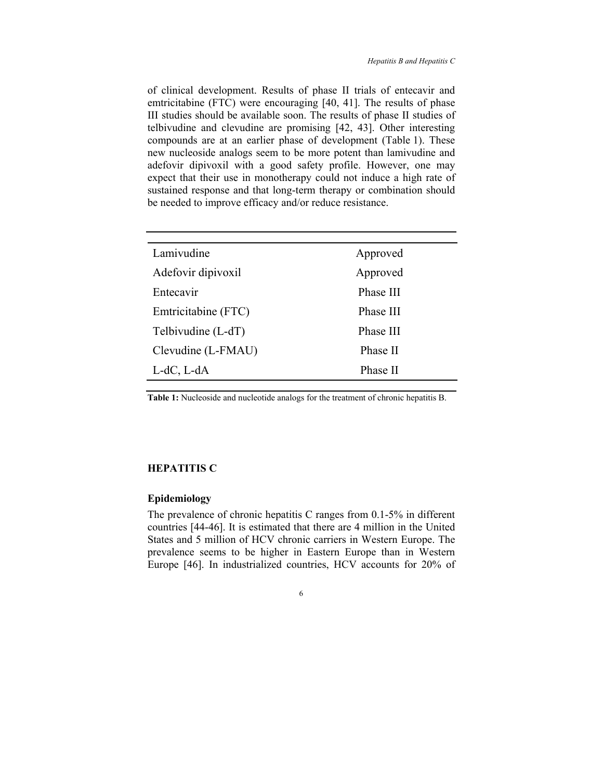of clinical development. Results of phase II trials of entecavir and emtricitabine (FTC) were encouraging [40, 41]. The results of phase III studies should be available soon. The results of phase II studies of telbivudine and clevudine are promising [42, 43]. Other interesting compounds are at an earlier phase of development (Table 1). These new nucleoside analogs seem to be more potent than lamivudine and adefovir dipivoxil with a good safety profile. However, one may expect that their use in monotherapy could not induce a high rate of sustained response and that long-term therapy or combination should be needed to improve efficacy and/or reduce resistance.

| Lamivudine           | Approved  |
|----------------------|-----------|
| Adefovir dipivoxil   | Approved  |
| Entecavir            | Phase III |
| Emtricitabine (FTC)  | Phase III |
| Telbivudine $(L-dT)$ | Phase III |
| Clevudine (L-FMAU)   | Phase II  |
| $L-dC, L-dA$         | Phase II  |
|                      |           |

**Table 1:** Nucleoside and nucleotide analogs for the treatment of chronic hepatitis B.

#### **HEPATITIS C**

#### **Epidemiology**

The prevalence of chronic hepatitis C ranges from 0.1-5% in different countries [44-46]. It is estimated that there are 4 million in the United States and 5 million of HCV chronic carriers in Western Europe. The prevalence seems to be higher in Eastern Europe than in Western Europe [46]. In industrialized countries, HCV accounts for 20% of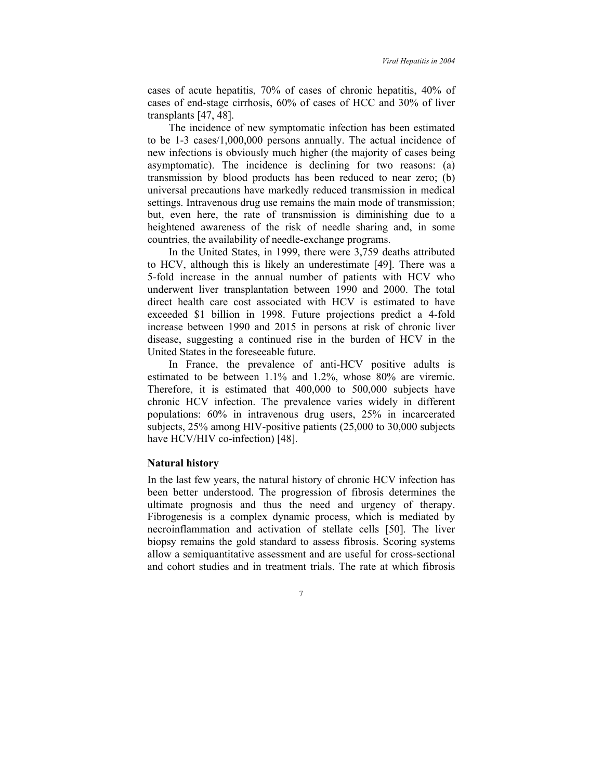cases of acute hepatitis, 70% of cases of chronic hepatitis, 40% of cases of end-stage cirrhosis, 60% of cases of HCC and 30% of liver transplants [47, 48].

The incidence of new symptomatic infection has been estimated to be 1-3 cases/1,000,000 persons annually. The actual incidence of new infections is obviously much higher (the majority of cases being asymptomatic). The incidence is declining for two reasons: (a) transmission by blood products has been reduced to near zero; (b) universal precautions have markedly reduced transmission in medical settings. Intravenous drug use remains the main mode of transmission; but, even here, the rate of transmission is diminishing due to a heightened awareness of the risk of needle sharing and, in some countries, the availability of needle-exchange programs.

In the United States, in 1999, there were 3,759 deaths attributed to HCV, although this is likely an underestimate [49]. There was a 5-fold increase in the annual number of patients with HCV who underwent liver transplantation between 1990 and 2000. The total direct health care cost associated with HCV is estimated to have exceeded \$1 billion in 1998. Future projections predict a 4-fold increase between 1990 and 2015 in persons at risk of chronic liver disease, suggesting a continued rise in the burden of HCV in the United States in the foreseeable future.

In France, the prevalence of anti-HCV positive adults is estimated to be between 1.1% and 1.2%, whose 80% are viremic. Therefore, it is estimated that 400,000 to 500,000 subjects have chronic HCV infection. The prevalence varies widely in different populations: 60% in intravenous drug users, 25% in incarcerated subjects, 25% among HIV-positive patients (25,000 to 30,000 subjects have HCV/HIV co-infection) [48].

#### **Natural history**

In the last few years, the natural history of chronic HCV infection has been better understood. The progression of fibrosis determines the ultimate prognosis and thus the need and urgency of therapy. Fibrogenesis is a complex dynamic process, which is mediated by necroinflammation and activation of stellate cells [50]. The liver biopsy remains the gold standard to assess fibrosis. Scoring systems allow a semiquantitative assessment and are useful for cross-sectional and cohort studies and in treatment trials. The rate at which fibrosis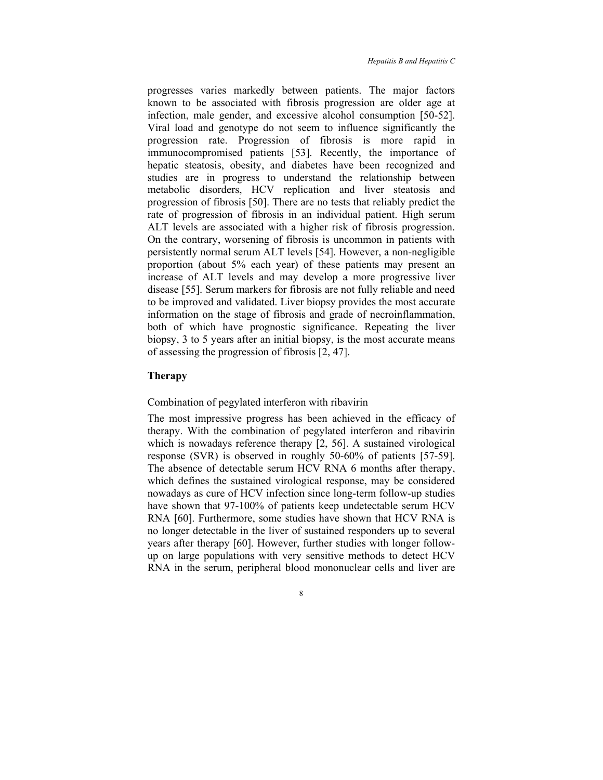progresses varies markedly between patients. The major factors known to be associated with fibrosis progression are older age at infection, male gender, and excessive alcohol consumption [50-52]. Viral load and genotype do not seem to influence significantly the progression rate. Progression of fibrosis is more rapid in immunocompromised patients [53]. Recently, the importance of hepatic steatosis, obesity, and diabetes have been recognized and studies are in progress to understand the relationship between metabolic disorders, HCV replication and liver steatosis and progression of fibrosis [50]. There are no tests that reliably predict the rate of progression of fibrosis in an individual patient. High serum ALT levels are associated with a higher risk of fibrosis progression. On the contrary, worsening of fibrosis is uncommon in patients with persistently normal serum ALT levels [54]. However, a non-negligible proportion (about 5% each year) of these patients may present an increase of ALT levels and may develop a more progressive liver disease [55]. Serum markers for fibrosis are not fully reliable and need to be improved and validated. Liver biopsy provides the most accurate information on the stage of fibrosis and grade of necroinflammation, both of which have prognostic significance. Repeating the liver biopsy, 3 to 5 years after an initial biopsy, is the most accurate means of assessing the progression of fibrosis [2, 47].

### **Therapy**

#### Combination of pegylated interferon with ribavirin

The most impressive progress has been achieved in the efficacy of therapy. With the combination of pegylated interferon and ribavirin which is nowadays reference therapy [2, 56]. A sustained virological response (SVR) is observed in roughly 50-60% of patients [57-59]. The absence of detectable serum HCV RNA 6 months after therapy, which defines the sustained virological response, may be considered nowadays as cure of HCV infection since long-term follow-up studies have shown that 97-100% of patients keep undetectable serum HCV RNA [60]. Furthermore, some studies have shown that HCV RNA is no longer detectable in the liver of sustained responders up to several years after therapy [60]. However, further studies with longer followup on large populations with very sensitive methods to detect HCV RNA in the serum, peripheral blood mononuclear cells and liver are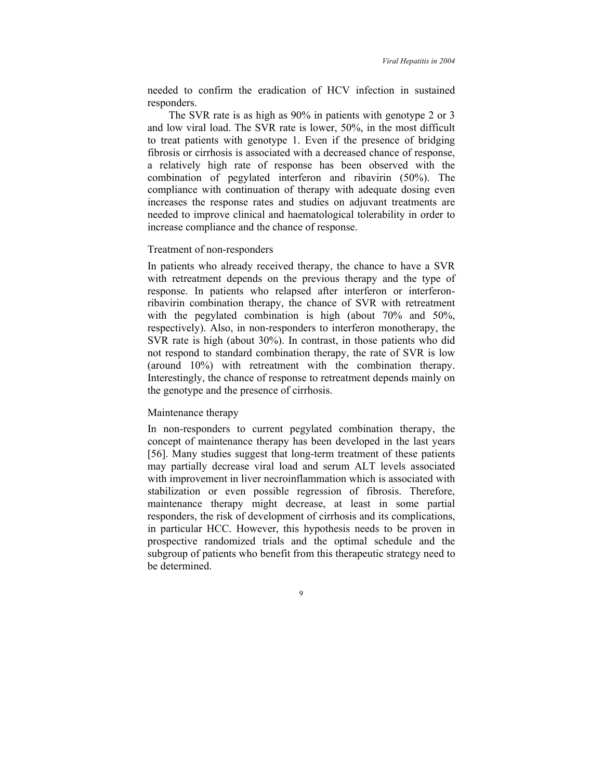needed to confirm the eradication of HCV infection in sustained responders.

The SVR rate is as high as 90% in patients with genotype 2 or 3 and low viral load. The SVR rate is lower, 50%, in the most difficult to treat patients with genotype 1. Even if the presence of bridging fibrosis or cirrhosis is associated with a decreased chance of response, a relatively high rate of response has been observed with the combination of pegylated interferon and ribavirin (50%). The compliance with continuation of therapy with adequate dosing even increases the response rates and studies on adjuvant treatments are needed to improve clinical and haematological tolerability in order to increase compliance and the chance of response.

#### Treatment of non-responders

In patients who already received therapy, the chance to have a SVR with retreatment depends on the previous therapy and the type of response. In patients who relapsed after interferon or interferonribavirin combination therapy, the chance of SVR with retreatment with the pegylated combination is high (about 70% and 50%, respectively). Also, in non-responders to interferon monotherapy, the SVR rate is high (about 30%). In contrast, in those patients who did not respond to standard combination therapy, the rate of SVR is low (around 10%) with retreatment with the combination therapy. Interestingly, the chance of response to retreatment depends mainly on the genotype and the presence of cirrhosis.

#### Maintenance therapy

In non-responders to current pegylated combination therapy, the concept of maintenance therapy has been developed in the last years [56]. Many studies suggest that long-term treatment of these patients may partially decrease viral load and serum ALT levels associated with improvement in liver necroinflammation which is associated with stabilization or even possible regression of fibrosis. Therefore, maintenance therapy might decrease, at least in some partial responders, the risk of development of cirrhosis and its complications, in particular HCC. However, this hypothesis needs to be proven in prospective randomized trials and the optimal schedule and the subgroup of patients who benefit from this therapeutic strategy need to be determined.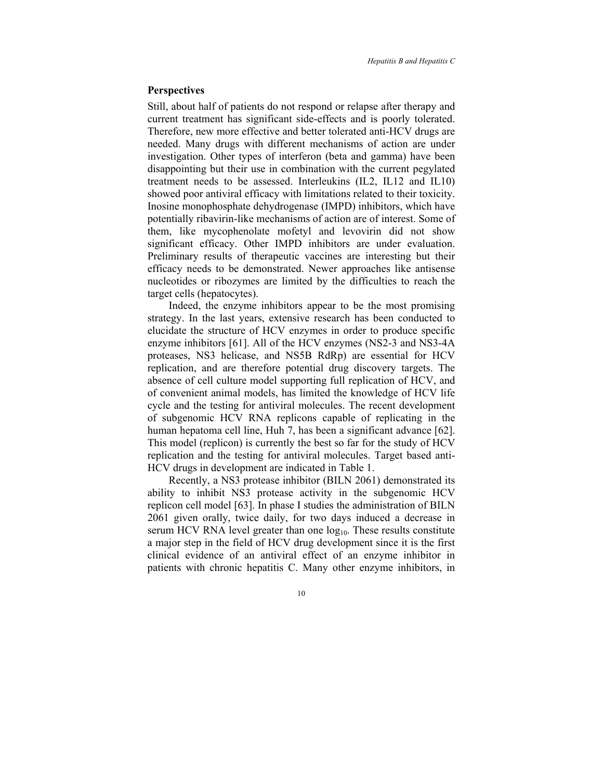#### **Perspectives**

Still, about half of patients do not respond or relapse after therapy and current treatment has significant side-effects and is poorly tolerated. Therefore, new more effective and better tolerated anti-HCV drugs are needed. Many drugs with different mechanisms of action are under investigation. Other types of interferon (beta and gamma) have been disappointing but their use in combination with the current pegylated treatment needs to be assessed. Interleukins (IL2, IL12 and IL10) showed poor antiviral efficacy with limitations related to their toxicity. Inosine monophosphate dehydrogenase (IMPD) inhibitors, which have potentially ribavirin-like mechanisms of action are of interest. Some of them, like mycophenolate mofetyl and levovirin did not show significant efficacy. Other IMPD inhibitors are under evaluation. Preliminary results of therapeutic vaccines are interesting but their efficacy needs to be demonstrated. Newer approaches like antisense nucleotides or ribozymes are limited by the difficulties to reach the target cells (hepatocytes).

Indeed, the enzyme inhibitors appear to be the most promising strategy. In the last years, extensive research has been conducted to elucidate the structure of HCV enzymes in order to produce specific enzyme inhibitors [61]. All of the HCV enzymes (NS2-3 and NS3-4A proteases, NS3 helicase, and NS5B RdRp) are essential for HCV replication, and are therefore potential drug discovery targets. The absence of cell culture model supporting full replication of HCV, and of convenient animal models, has limited the knowledge of HCV life cycle and the testing for antiviral molecules. The recent development of subgenomic HCV RNA replicons capable of replicating in the human hepatoma cell line, Huh 7, has been a significant advance [62]. This model (replicon) is currently the best so far for the study of HCV replication and the testing for antiviral molecules. Target based anti-HCV drugs in development are indicated in Table 1.

Recently, a NS3 protease inhibitor (BILN 2061) demonstrated its ability to inhibit NS3 protease activity in the subgenomic HCV replicon cell model [63]. In phase I studies the administration of BILN 2061 given orally, twice daily, for two days induced a decrease in serum HCV RNA level greater than one  $log_{10}$ . These results constitute a major step in the field of HCV drug development since it is the first clinical evidence of an antiviral effect of an enzyme inhibitor in patients with chronic hepatitis C. Many other enzyme inhibitors, in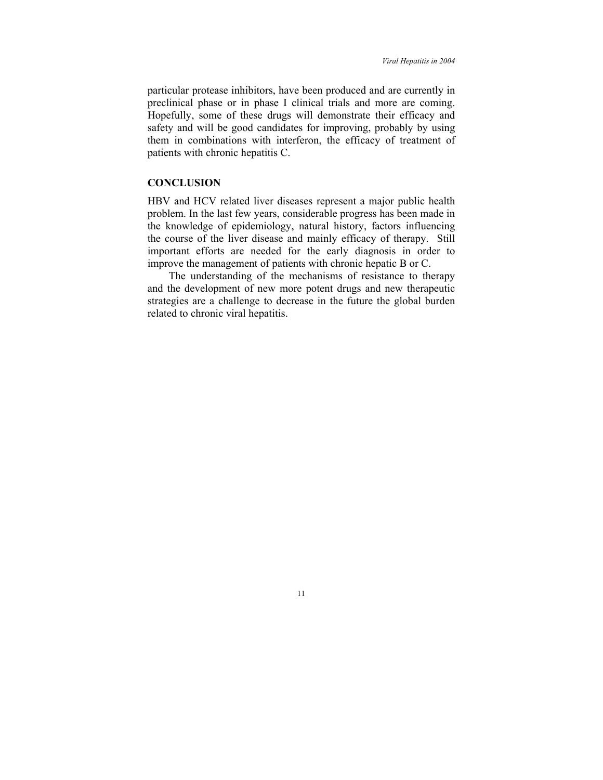particular protease inhibitors, have been produced and are currently in preclinical phase or in phase I clinical trials and more are coming. Hopefully, some of these drugs will demonstrate their efficacy and safety and will be good candidates for improving, probably by using them in combinations with interferon, the efficacy of treatment of patients with chronic hepatitis C.

# **CONCLUSION**

HBV and HCV related liver diseases represent a major public health problem. In the last few years, considerable progress has been made in the knowledge of epidemiology, natural history, factors influencing the course of the liver disease and mainly efficacy of therapy. Still important efforts are needed for the early diagnosis in order to improve the management of patients with chronic hepatic B or C.

The understanding of the mechanisms of resistance to therapy and the development of new more potent drugs and new therapeutic strategies are a challenge to decrease in the future the global burden related to chronic viral hepatitis.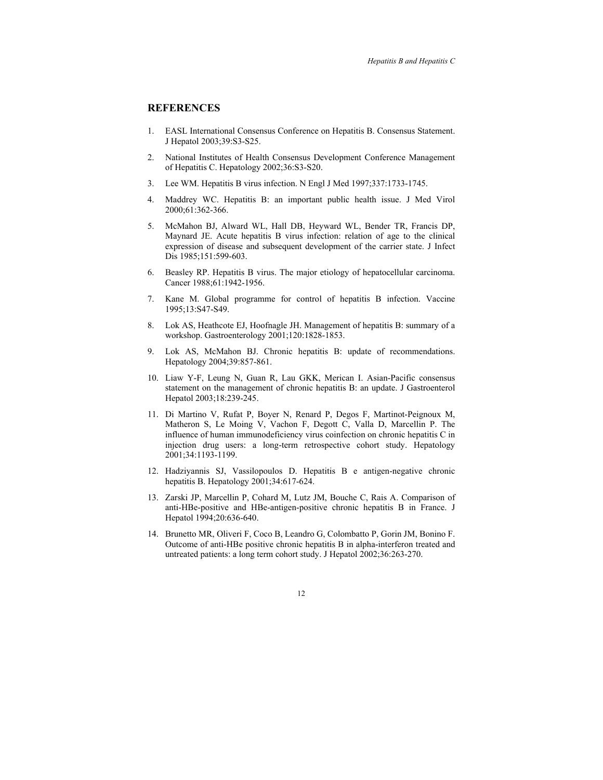# **REFERENCES**

- 1. EASL International Consensus Conference on Hepatitis B. Consensus Statement. J Hepatol 2003;39:S3-S25.
- 2. National Institutes of Health Consensus Development Conference Management of Hepatitis C. Hepatology 2002;36:S3-S20.
- 3. Lee WM. Hepatitis B virus infection. N Engl J Med 1997;337:1733-1745.
- 4. Maddrey WC. Hepatitis B: an important public health issue. J Med Virol 2000;61:362-366.
- 5. McMahon BJ, Alward WL, Hall DB, Heyward WL, Bender TR, Francis DP, Maynard JE. Acute hepatitis B virus infection: relation of age to the clinical expression of disease and subsequent development of the carrier state. J Infect Dis 1985;151:599-603.
- 6. Beasley RP. Hepatitis B virus. The major etiology of hepatocellular carcinoma. Cancer 1988;61:1942-1956.
- 7. Kane M. Global programme for control of hepatitis B infection. Vaccine 1995;13:S47-S49.
- 8. Lok AS, Heathcote EJ, Hoofnagle JH. Management of hepatitis B: summary of a workshop. Gastroenterology 2001;120:1828-1853.
- 9. Lok AS, McMahon BJ. Chronic hepatitis B: update of recommendations. Hepatology 2004;39:857-861.
- 10. Liaw Y-F, Leung N, Guan R, Lau GKK, Merican I. Asian-Pacific consensus statement on the management of chronic hepatitis B: an update. J Gastroenterol Hepatol 2003;18:239-245.
- 11. Di Martino V, Rufat P, Boyer N, Renard P, Degos F, Martinot-Peignoux M, Matheron S, Le Moing V, Vachon F, Degott C, Valla D, Marcellin P. The influence of human immunodeficiency virus coinfection on chronic hepatitis C in injection drug users: a long-term retrospective cohort study. Hepatology 2001;34:1193-1199.
- 12. Hadziyannis SJ, Vassilopoulos D. Hepatitis B e antigen-negative chronic hepatitis B. Hepatology 2001;34:617-624.
- 13. Zarski JP, Marcellin P, Cohard M, Lutz JM, Bouche C, Rais A. Comparison of anti-HBe-positive and HBe-antigen-positive chronic hepatitis B in France. J Hepatol 1994;20:636-640.
- 14. Brunetto MR, Oliveri F, Coco B, Leandro G, Colombatto P, Gorin JM, Bonino F. Outcome of anti-HBe positive chronic hepatitis B in alpha-interferon treated and untreated patients: a long term cohort study. J Hepatol 2002;36:263-270.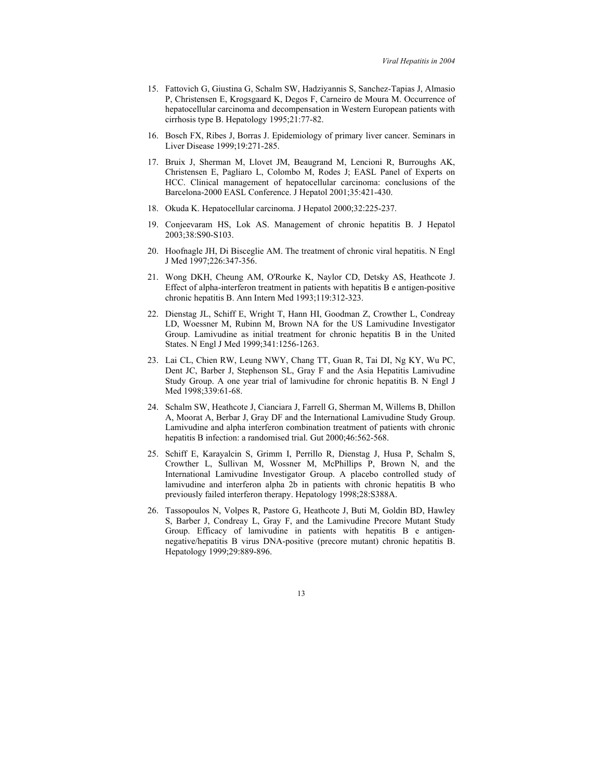- 15. Fattovich G, Giustina G, Schalm SW, Hadziyannis S, Sanchez-Tapias J, Almasio P, Christensen E, Krogsgaard K, Degos F, Carneiro de Moura M. Occurrence of hepatocellular carcinoma and decompensation in Western European patients with cirrhosis type B. Hepatology 1995;21:77-82.
- 16. Bosch FX, Ribes J, Borras J. Epidemiology of primary liver cancer. Seminars in Liver Disease 1999;19:271-285.
- 17. Bruix J, Sherman M, Llovet JM, Beaugrand M, Lencioni R, Burroughs AK, Christensen E, Pagliaro L, Colombo M, Rodes J; EASL Panel of Experts on HCC. Clinical management of hepatocellular carcinoma: conclusions of the Barcelona-2000 EASL Conference. J Hepatol 2001;35:421-430.
- 18. Okuda K. Hepatocellular carcinoma. J Hepatol 2000;32:225-237.
- 19. Conjeevaram HS, Lok AS. Management of chronic hepatitis B. J Hepatol 2003;38:S90-S103.
- 20. Hoofnagle JH, Di Bisceglie AM. The treatment of chronic viral hepatitis. N Engl J Med 1997;226:347-356.
- 21. Wong DKH, Cheung AM, O'Rourke K, Naylor CD, Detsky AS, Heathcote J. Effect of alpha-interferon treatment in patients with hepatitis B e antigen-positive chronic hepatitis B. Ann Intern Med 1993;119:312-323.
- 22. Dienstag JL, Schiff E, Wright T, Hann HI, Goodman Z, Crowther L, Condreay LD, Woessner M, Rubinn M, Brown NA for the US Lamivudine Investigator Group. Lamivudine as initial treatment for chronic hepatitis B in the United States. N Engl J Med 1999;341:1256-1263.
- 23. Lai CL, Chien RW, Leung NWY, Chang TT, Guan R, Tai DI, Ng KY, Wu PC, Dent JC, Barber J, Stephenson SL, Gray F and the Asia Hepatitis Lamivudine Study Group. A one year trial of lamivudine for chronic hepatitis B. N Engl J Med 1998;339:61-68.
- 24. Schalm SW, Heathcote J, Cianciara J, Farrell G, Sherman M, Willems B, Dhillon A, Moorat A, Berbar J, Gray DF and the International Lamivudine Study Group. Lamivudine and alpha interferon combination treatment of patients with chronic hepatitis B infection: a randomised trial. Gut 2000;46:562-568.
- 25. Schiff E, Karayalcin S, Grimm I, Perrillo R, Dienstag J, Husa P, Schalm S, Crowther L, Sullivan M, Wossner M, McPhillips P, Brown N, and the International Lamivudine Investigator Group. A placebo controlled study of lamivudine and interferon alpha 2b in patients with chronic hepatitis B who previously failed interferon therapy. Hepatology 1998;28:S388A.
- 26. Tassopoulos N, Volpes R, Pastore G, Heathcote J, Buti M, Goldin BD, Hawley S, Barber J, Condreay L, Gray F, and the Lamivudine Precore Mutant Study Group. Efficacy of lamivudine in patients with hepatitis B e antigennegative/hepatitis B virus DNA-positive (precore mutant) chronic hepatitis B. Hepatology 1999;29:889-896.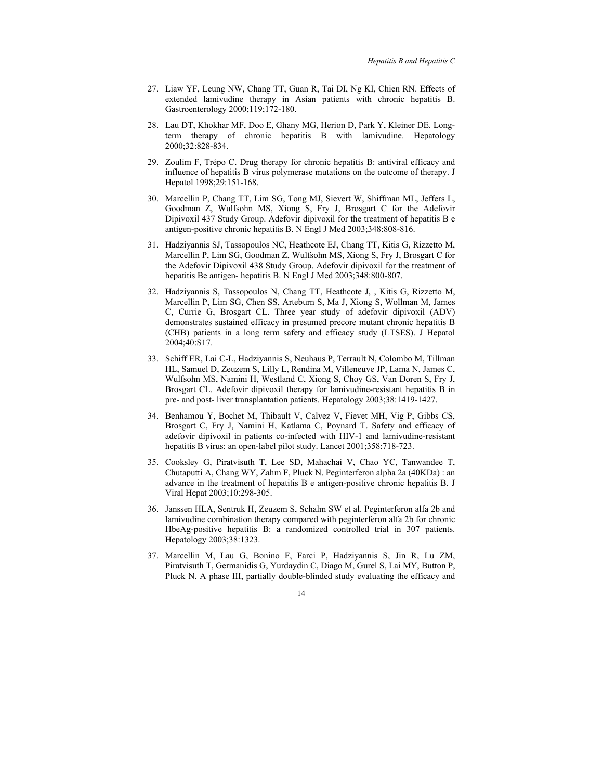- 27. Liaw YF, Leung NW, Chang TT, Guan R, Tai DI, Ng KI, Chien RN. Effects of extended lamivudine therapy in Asian patients with chronic hepatitis B. Gastroenterology 2000;119;172-180.
- 28. Lau DT, Khokhar MF, Doo E, Ghany MG, Herion D, Park Y, Kleiner DE. Longterm therapy of chronic hepatitis B with lamivudine. Hepatology 2000;32:828-834.
- 29. Zoulim F, Trépo C. Drug therapy for chronic hepatitis B: antiviral efficacy and influence of hepatitis B virus polymerase mutations on the outcome of therapy. J Hepatol 1998;29:151-168.
- 30. Marcellin P, Chang TT, Lim SG, Tong MJ, Sievert W, Shiffman ML, Jeffers L, Goodman Z, Wulfsohn MS, Xiong S, Fry J, Brosgart C for the Adefovir Dipivoxil 437 Study Group. Adefovir dipivoxil for the treatment of hepatitis B e antigen-positive chronic hepatitis B. N Engl J Med 2003;348:808-816.
- 31. Hadziyannis SJ, Tassopoulos NC, Heathcote EJ, Chang TT, Kitis G, Rizzetto M, Marcellin P, Lim SG, Goodman Z, Wulfsohn MS, Xiong S, Fry J, Brosgart C for the Adefovir Dipivoxil 438 Study Group. Adefovir dipivoxil for the treatment of hepatitis Be antigen- hepatitis B. N Engl J Med 2003;348:800-807.
- 32. Hadziyannis S, Tassopoulos N, Chang TT, Heathcote J, , Kitis G, Rizzetto M, Marcellin P, Lim SG, Chen SS, Arteburn S, Ma J, Xiong S, Wollman M, James C, Currie G, Brosgart CL. Three year study of adefovir dipivoxil (ADV) demonstrates sustained efficacy in presumed precore mutant chronic hepatitis B (CHB) patients in a long term safety and efficacy study (LTSES). J Hepatol 2004;40:S17.
- 33. Schiff ER, Lai C-L, Hadziyannis S, Neuhaus P, Terrault N, Colombo M, Tillman HL, Samuel D, Zeuzem S, Lilly L, Rendina M, Villeneuve JP, Lama N, James C, Wulfsohn MS, Namini H, Westland C, Xiong S, Choy GS, Van Doren S, Fry J, Brosgart CL. Adefovir dipivoxil therapy for lamivudine-resistant hepatitis B in pre- and post- liver transplantation patients. Hepatology 2003;38:1419-1427.
- 34. Benhamou Y, Bochet M, Thibault V, Calvez V, Fievet MH, Vig P, Gibbs CS, Brosgart C, Fry J, Namini H, Katlama C, Poynard T. Safety and efficacy of adefovir dipivoxil in patients co-infected with HIV-1 and lamivudine-resistant hepatitis B virus: an open-label pilot study. Lancet 2001;358:718-723.
- 35. Cooksley G, Piratvisuth T, Lee SD, Mahachai V, Chao YC, Tanwandee T, Chutaputti A, Chang WY, Zahm F, Pluck N. Peginterferon alpha 2a (40KDa) : an advance in the treatment of hepatitis B e antigen-positive chronic hepatitis B. J Viral Hepat 2003;10:298-305.
- 36. Janssen HLA, Sentruk H, Zeuzem S, Schalm SW et al. Peginterferon alfa 2b and lamivudine combination therapy compared with peginterferon alfa 2b for chronic HbeAg-positive hepatitis B: a randomized controlled trial in 307 patients. Hepatology 2003;38:1323.
- 37. Marcellin M, Lau G, Bonino F, Farci P, Hadziyannis S, Jin R, Lu ZM, Piratvisuth T, Germanidis G, Yurdaydin C, Diago M, Gurel S, Lai MY, Button P, Pluck N. A phase III, partially double-blinded study evaluating the efficacy and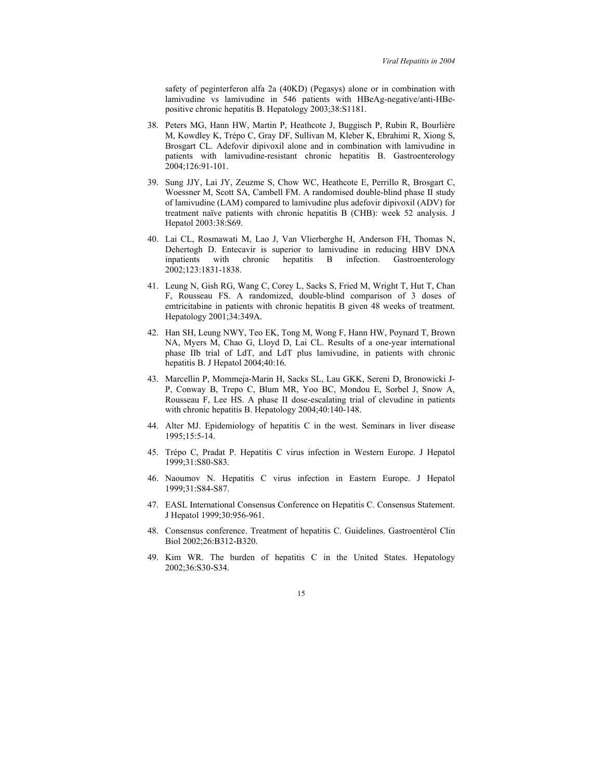safety of peginterferon alfa 2a (40KD) (Pegasys) alone or in combination with lamivudine vs lamivudine in 546 patients with HBeAg-negative/anti-HBepositive chronic hepatitis B. Hepatology 2003;38:S1181.

- 38. Peters MG, Hann HW, Martin P, Heathcote J, Buggisch P, Rubin R, Bourlière M, Kowdley K, Trépo C, Gray DF, Sullivan M, Kleber K, Ebrahimi R, Xiong S, Brosgart CL. Adefovir dipivoxil alone and in combination with lamivudine in patients with lamivudine-resistant chronic hepatitis B. Gastroenterology 2004;126:91-101.
- 39. Sung JJY, Lai JY, Zeuzme S, Chow WC, Heathcote E, Perrillo R, Brosgart C, Woessner M, Scott SA, Cambell FM. A randomised double-blind phase II study of lamivudine (LAM) compared to lamivudine plus adefovir dipivoxil (ADV) for treatment naïve patients with chronic hepatitis B (CHB): week 52 analysis. J Hepatol 2003:38:S69.
- 40. Lai CL, Rosmawati M, Lao J, Van Vlierberghe H, Anderson FH, Thomas N, Dehertogh D. Entecavir is superior to lamivudine in reducing HBV DNA inpatients with chronic hepatitis B infection. Gastroenterology 2002;123:1831-1838.
- 41. Leung N, Gish RG, Wang C, Corey L, Sacks S, Fried M, Wright T, Hut T, Chan F, Rousseau FS. A randomized, double-blind comparison of 3 doses of emtricitabine in patients with chronic hepatitis B given 48 weeks of treatment. Hepatology 2001;34:349A.
- 42. Han SH, Leung NWY, Teo EK, Tong M, Wong F, Hann HW, Poynard T, Brown NA, Myers M, Chao G, Lloyd D, Lai CL. Results of a one-year international phase IIb trial of LdT, and LdT plus lamivudine, in patients with chronic hepatitis B. J Hepatol 2004;40:16.
- 43. Marcellin P, Mommeja-Marin H, Sacks SL, Lau GKK, Sereni D, Bronowicki J-P, Conway B, Trepo C, Blum MR, Yoo BC, Mondou E, Sorbel J, Snow A, Rousseau F, Lee HS. A phase II dose-escalating trial of clevudine in patients with chronic hepatitis B. Hepatology 2004;40:140-148.
- 44. Alter MJ. Epidemiology of hepatitis C in the west. Seminars in liver disease 1995;15:5-14.
- 45. Trépo C, Pradat P. Hepatitis C virus infection in Western Europe. J Hepatol 1999;31:S80-S83.
- 46. Naoumov N. Hepatitis C virus infection in Eastern Europe. J Hepatol 1999;31:S84-S87.
- 47. EASL International Consensus Conference on Hepatitis C. Consensus Statement. J Hepatol 1999;30:956-961.
- 48. Consensus conference. Treatment of hepatitis C. Guidelines. Gastroentérol Clin Biol 2002;26:B312-B320.
- 49. Kim WR. The burden of hepatitis C in the United States. Hepatology 2002;36:S30-S34.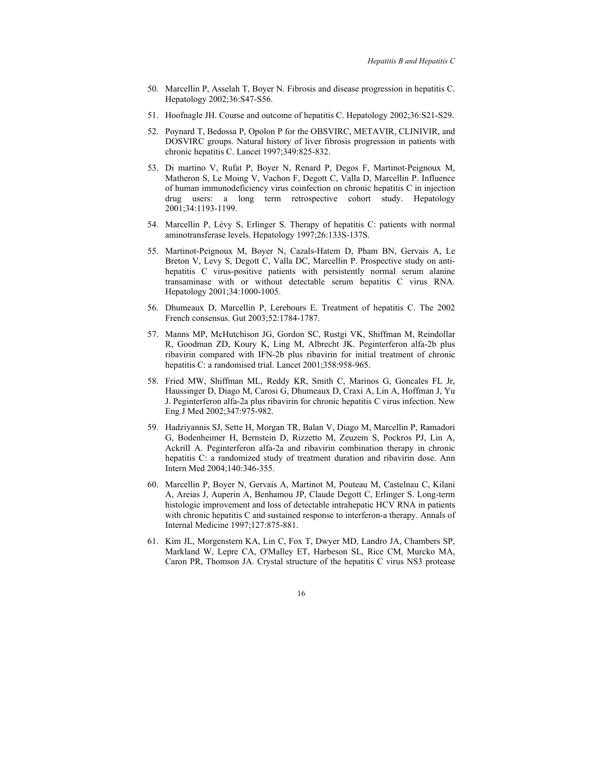- 50. Marcellin P, Asselah T, Boyer N. Fibrosis and disease progression in hepatitis C. Hepatology 2002;36:S47-S56.
- 51. Hoofnagle JH. Course and outcome of hepatitis C. Hepatology 2002;36:S21-S29.
- 52. Poynard T, Bedossa P, Opolon P for the OBSVIRC, METAVIR, CLINIVIR, and DOSVIRC groups. Natural history of liver fibrosis progression in patients with chronic hepatitis C. Lancet 1997;349:825-832.
- 53. Di martino V, Rufat P, Boyer N, Renard P, Degos F, Martinot-Peignoux M, Matheron S, Le Moing V, Vachon F, Degott C, Valla D, Marcellin P. Influence of human immunodeficiency virus coinfection on chronic hepatitis C in injection drug users: a long term retrospective cohort study. Hepatology 2001;34:1193-1199.
- 54. Marcellin P, Lévy S, Erlinger S. Therapy of hepatitis C: patients with normal aminotransferase levels. Hepatology 1997;26:133S-137S.
- 55. Martinot-Peignoux M, Boyer N, Cazals-Hatem D, Pham BN, Gervais A, Le Breton V, Levy S, Degott C, Valla DC, Marcellin P. Prospective study on antihepatitis C virus-positive patients with persistently normal serum alanine transaminase with or without detectable serum hepatitis C virus RNA. Hepatology 2001;34:1000-1005.
- 56. Dhumeaux D, Marcellin P, Lerebours E. Treatment of hepatitis C. The 2002 French consensus. Gut 2003;52:1784-1787.
- 57. Manns MP, McHutchison JG, Gordon SC, Rustgi VK, Shiffman M, Reindollar R, Goodman ZD, Koury K, Ling M, Albrecht JK. Peginterferon alfa-2b plus ribavirin compared with IFN-2b plus ribavirin for initial treatment of chronic hepatitis C: a randomised trial. Lancet 2001;358:958-965.
- 58. Fried MW, Shiffman ML, Reddy KR, Smith C, Marinos G, Goncales FL Jr, Haussinger D, Diago M, Carosi G, Dhumeaux D, Craxi A, Lin A, Hoffman J, Yu J. Peginterferon alfa-2a plus ribavirin for chronic hepatitis C virus infection. New Eng J Med 2002;347:975-982.
- 59. Hadziyannis SJ, Sette H, Morgan TR, Balan V, Diago M, Marcellin P, Ramadori G, Bodenheimer H, Bernstein D, Rizzetto M, Zeuzem S, Pockros PJ, Lin A, Ackrill A. Peginterferon alfa-2a and ribavirin combination therapy in chronic hepatitis C: a randomized study of treatment duration and ribavirin dose. Ann Intern Med 2004;140:346-355.
- 60. Marcellin P, Boyer N, Gervais A, Martinot M, Pouteau M, Castelnau C, Kilani A, Areias J, Auperin A, Benhamou JP, Claude Degott C, Erlinger S. Long-term histologic improvement and loss of detectable intrahepatic HCV RNA in patients with chronic hepatitis C and sustained response to interferon-a therapy. Annals of Internal Medicine 1997;127:875-881.
- 61. Kim JL, Morgenstern KA, Lin C, Fox T, Dwyer MD, Landro JA, Chambers SP, Markland W, Lepre CA, O'Malley ET, Harbeson SL, Rice CM, Murcko MA, Caron PR, Thomson JA. Crystal structure of the hepatitis C virus NS3 protease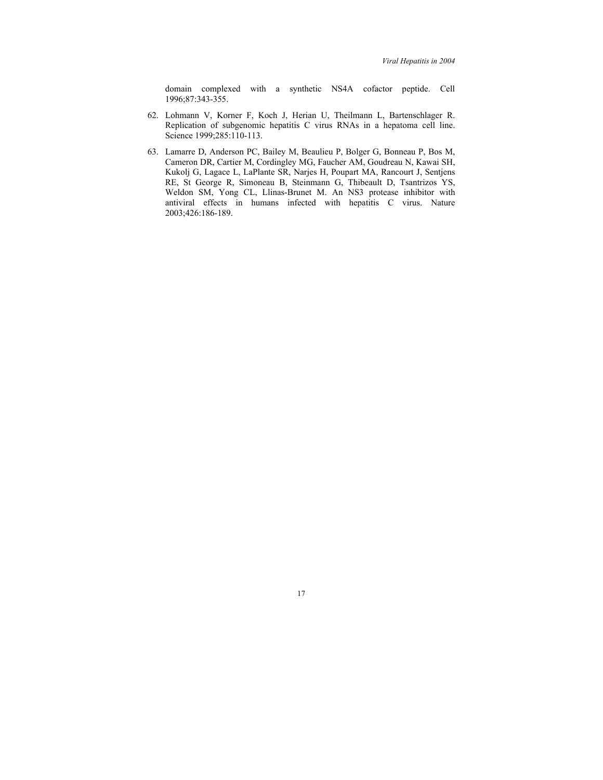domain complexed with a synthetic NS4A cofactor peptide. Cell 1996;87:343-355.

- 62. Lohmann V, Korner F, Koch J, Herian U, Theilmann L, Bartenschlager R. Replication of subgenomic hepatitis C virus RNAs in a hepatoma cell line. Science 1999;285:110-113.
- 63. Lamarre D, Anderson PC, Bailey M, Beaulieu P, Bolger G, Bonneau P, Bos M, Cameron DR, Cartier M, Cordingley MG, Faucher AM, Goudreau N, Kawai SH, Kukolj G, Lagace L, LaPlante SR, Narjes H, Poupart MA, Rancourt J, Sentjens RE, St George R, Simoneau B, Steinmann G, Thibeault D, Tsantrizos YS, Weldon SM, Yong CL, Llinas-Brunet M. An NS3 protease inhibitor with antiviral effects in humans infected with hepatitis C virus. Nature 2003;426:186-189.